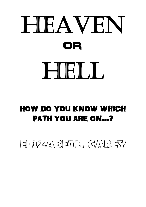

# HOW DO YOU KNOW WHICH PATH YOU ARE ON...?

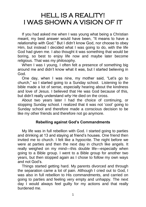# HELL IS A REALITY! I WAS SHOWN A VISION OF IT

 If you had asked me when I was young what being a Christian meant, my best answer would have been, "It means to have a relationship with God." But I didn't know God, nor choose to obey Him, but instead I decided what I was going to do, with the life God had given me. I also thought it was something that would be boring, so best to enjoy life now and maybe later become religious. That was my philosophy.

When I was I young. I often felt a presence of something big around me and didn't know what it was, but I started believing in God.

 One day, when I was nine, my mother said, "Let's go to church," so I started going to a Sunday school. Listening to the bible made a lot of sense, especially hearing about the kindness and love of Jesus. I believed that He was God because of this, but didn't really understand *why* He died on the cross.

 About two years later I had the choice of continuing, or stopping Sunday school. I realized that it was not 'cool' going to Sunday school and therefore made a conscious decision to be like my other friends and therefore not go anymore.

## **Rebelling against God's Commandments**

 My life was in full rebellion with God. I started going to parties and drinking at 13 and staying at friend's houses. One friend then invited me to church. I felt like a hypocrite. The night before we were at parties and then the next day in church like angels. It really weighed on my mind—this double life—especially when going to a Bible group. I went to a Bible group for another two years, but then stopped again as I chose to follow my own ways and not God's.

 Things started getting hard. My parents divorced and through the separation came a lot of pain. Although I cried out to God, I was also in full rebellion to His commandments, and carried on going to parties and feeling very empty and unhappy. The next day I would always feel guilty for my actions and that really burdened me.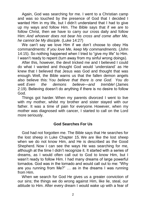Again, God was searching for me. I went to a Christian camp and was so touched by the presence of God that I decided I wanted Him in my life, but I didn't understand that I had to give up my ways and follow Him. The Bible says that if we are to follow Christ, then we have to carry our cross daily and follow Him: *And whoever does not bear his cross and come after Me, he cannot be My disciple.* (Luke 14:27)

 We can't say we love Him if we don't choose to obey His commandments: *If you love Me, keep My commandments.* (John 14:15). So nothing happened when I tried to "give my life" to Him. I wasn't ready to repent (turn away from my sinful wrong doings).

 After this, however, the devil tricked me and I believed I could do what I wanted and thought God would 'understand' as He knew that I believed that Jesus was God and thought that was enough. Well, the Bible warns us that the fallen demon angels also believe this: Y*ou believe that there is one God. You do well. Even the demons believe—and tremble!* (James 2:19). Believing doesn't do anything if there is no desire to follow God.

 Things got harder. When my parents divorced I went to live with my mother, whilst my brother and sister stayed with our father. It was a time of pain for everyone. However, when my mother was diagnosed with cancer, I started to call on the Lord more seriously.

## **God Searches For Us**

 God had not forgotten me. The Bible says that He searches for the lost sheep in Luke Chapter 15. We are like the lost sheep when we do not know Him, and He is described as the Good Shepherd. Now I can see the ways He was searching for me, although at the time I didn't recognize it. It started with a series of dreams, as I would often call out to God to know Him, but I wasn't ready to follow Him. I had many dreams of large powerful tornados. God was in the tornado and would call out to me: "Why are you running from Me?" … as in the dreams I was running from Him.

 When we search for God He gives us a greater conviction of our sins; the things we do wrong against Him, like lie, steal, our attitude to Him. After every dream I would wake up with a fear of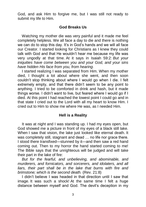God, and ask Him to forgive me, but I was still not ready to submit my life to Him.

## **God Breaks Us**

 Watching my mother die was very painful and it made me feel completely helpless. We all face a day to die and there is nothing we can do to stop this day. It's in God's hands and we will all face our Creator. I started looking for Christians as I knew they could talk with God and that He wouldn't hear me because my life was very ungodly at that time. At it says in Isaiah 59:2: *But your iniquities have come between you and your God, and your sins have hidden His face from you, from hearing.*

 I started realizing I was separated from Him. When my mother died, I thought a lot about where she went, and then soon couldn't stop thinking about where I would go when I die. I felt extremely empty, and that there didn't seem to be any point to anything. I tried to be comforted in drink and hash, but it made things worse. I didn't want to live, but feared where I would go if I died. At this point I had reached the lowest point I could go and in that state I cried out to the Lord with all my heart to know Him. I cried out to Him to show me where He was, as I needed Him.

# **Hell is a Reality**

 It was at night and I was standing up. I had my eyes open, but God showed me a picture in front of my eyes of a black still lake. When I saw that vision, the lake just looked like eternal death. It was completely still, stagnant and dead ... no life nor grace there. I stood there transfixed—stunned by it—and then saw a red hand coming out. Then to my horror the hand started coming to me! The Bible says that the unrighteous will be judged and will take their part in the lake of fire:

 *But for the fearful, and unbelieving, and abominable, and murderers, and fornicators, and sorcerers, and idolaters, and all liars, their part shall be in the lake that burns with fire and brimstone; which is the second death.* (Rev. 21:8)

 I didn't believe I was headed in that direction until I saw that image. It was such a shock! At the same time I felt a huge distance between myself and God. The devil's deception in my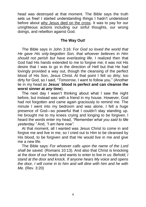head was destroyed at that moment. The Bible says the truth sets us free! I started understanding things I hadn't understood before about [why Jesus died on the cross.](http://www.precious-testimonies.com/Exhortations/a-e/WhyTheCross.htm) It was to pay for our unrighteous actions including our sinful thoughts, our wrong doings, and rebellion against God.

## **The Way Out!**

 The Bible says in John 3:16: F*or God so loved the world that He gave His only-begotten Son, that whoever believes in Him should not perish but have everlasting life.* I realized then that God had His hands extended to me to forgive me; it was not His desire that I was to go in the direction of Hell but that He had lovingly provided a way out, though the cleansing of the perfect blood of His Son, Jesus Christ. At that point I felt so dirty; too dirty for God, so I said, "*Tomorrow*, I want to follow you." (Another lie in my head as **Jesus´ blood is perfect and can cleanse the worst sinner at** *any* **time**).

 The next day I wasn't thinking about what I saw the night before, but instead was with a friend in my house. However, God had not forgotten and came again graciously to remind me. The minute I went into my bedroom and was alone, I felt a huge presence of God—so powerful that I couldn't stay standing up. He brought me to my knees crying and longing to be forgiven. I heard the words enter my head, *"Remember what you said to Me yesterday."* And, *"I am here now".*

 At that moment, all I wanted was Jesus Christ to come in and forgive me and live in me, so I cried out to Him to be cleansed by His blood, to be forgiven and that He would live in me and give me a new life.

 The Bible says: *For whoever calls upon the name of the Lord shall be saved.* (Romans 10:13). And also that Christ is knocking at the door of our hearts and wants to enter to live in us: *Behold, I stand at the door and knock. If anyone hears My voice and opens the door, I will come in to him and will dine with him and he with Me.* (Rev. 3:20)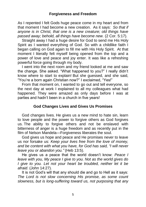As I repented I felt Gods huge peace come in my heart and from that moment I had become a new creation. As it says: *So that if anyone is in Christ, that one is a new creature; old things have passed away; behold, all things have become new.* (2 Cor. 5:17).

Straight away I had a huge desire for God to send me His Holy Spirit as I wanted everything of God. So with a childlike faith I began calling on God again to fill me with His Holy Spirit. At that moment I literally felt myself being opened from the top and a power of love and peace and joy enter. It was like a refreshing powerful force going through my body.

 I went into the next room and my friend looked at me and saw the change. She asked. "What happened to you?" I really didn't know where to start to explain! But she guessed, and she said, "You're a born again Christian now?" I exclaimed, "Yes!"

 From that moment on, I wanted to go out and tell everyone, so the next day at work I explained to all my colleagues what had happened. They were amazed as only days before I was at parties and hadn't been in a church in five years!

# **God Changes Lives and Gives Us Promises**

 God changes lives. He gives us a new mind to hate sin, learn to love people and the power to forgive others as God forgives us. The ability to forgive others and not be enslaved with bitterness of anger is a huge freedom and as recently put in the film of Nelson Mandela—Forgiveness liberates the soul.

 God gives us hope and peace and He promises never to leave us nor forsake us: *Keep your lives free from the love of money, and be content with what you have, for God has said, "I will never leave you or abandon you."* (Heb 13:5).

 He gives us a peace that the world doesn't know: *Peace I leave with you, My peace I give to you. Not as the world gives do I give to you. Let not your heart be troubled, neither let it be afraid*. (John 14:27).

 It is not God's will that any should die and go to Hell as it says: *The Lord is not slow concerning His promise, as some count slowness, but is long-suffering toward us, not purposing that any*